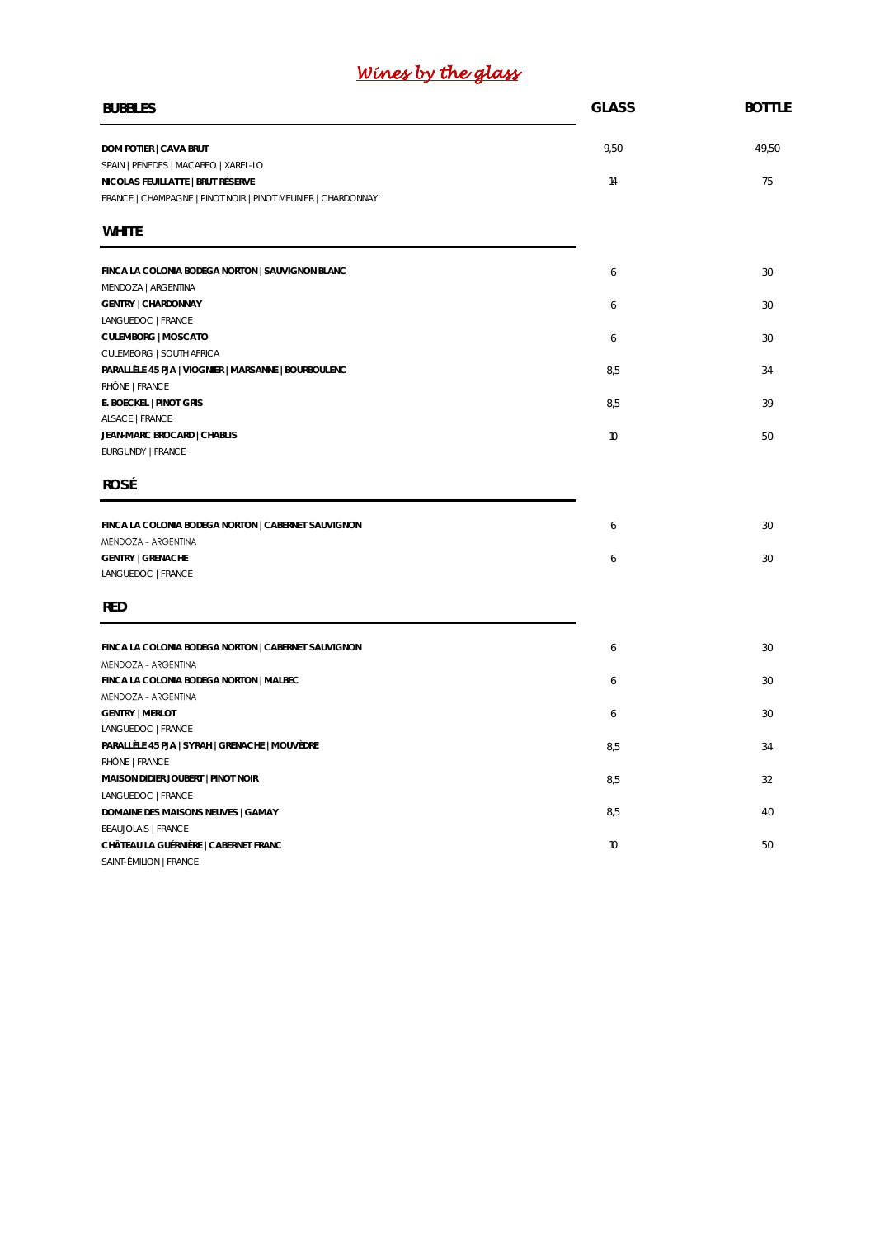# *Wines by the glass*

| <b>BUBBLES</b>                                                             | <b>GLASS</b>    | <b>BOTTLE</b> |
|----------------------------------------------------------------------------|-----------------|---------------|
| DOM POTIER   CAVA BRUT                                                     | 9,50            | 49,50         |
| SPAIN   PENEDES   MACABEO   XAREL-LO<br>NICOLAS FEUILLATTE   BRUT RÉSERVE  | 14              | 75            |
| FRANCE   CHAMPAGNE   PINOT NOIR   PINOT MEUNIER   CHARDONNAY               |                 |               |
| <b>WHITE</b>                                                               |                 |               |
| FINCA LA COLONIA BODEGA NORTON   SAUVIGNON BLANC                           | 6               | 30            |
| MENDOZA   ARGENTINA                                                        |                 |               |
| <b>GENTRY   CHARDONNAY</b><br>LANGUEDOC   FRANCE                           | 6               | 30            |
| CULEMBORG   MOSCATO                                                        | 6               | 30            |
| CULEMBORG   SOUTH AFRICA                                                   |                 |               |
| PARALLÈLE 45 PJA   VIOGNIER   MARSANNE   BOURBOULENC                       | 8,5             | 34            |
| RHÔNE   FRANCE                                                             |                 |               |
| E. BOECKEL   PINOT GRIS<br>ALSACE   FRANCE                                 | 8,5             | 39            |
| JEAN-MARC BROCARD   CHABLIS                                                | 10 <sup>°</sup> | 50            |
| <b>BURGUNDY   FRANCE</b>                                                   |                 |               |
| ROSÉ                                                                       |                 |               |
| FINCA LA COLONIA BODEGA NORTON   CABERNET SAUVIGNON                        | 6               | 30            |
| MENDOZA - ARGENTINA                                                        |                 |               |
| <b>GENTRY   GRENACHE</b><br>LANGUEDOC   FRANCE                             | 6               | 30            |
| <b>RED</b>                                                                 |                 |               |
|                                                                            |                 |               |
| FINCA LA COLONIA BODEGA NORTON   CABERNET SAUVIGNON<br>MENDOZA - ARGENTINA | 6               | 30            |
| FINCA LA COLONIA BODEGA NORTON   MALBEC                                    | 6               | 30            |
| MENDOZA - ARGENTINA                                                        |                 |               |
| <b>GENTRY   MERLOT</b>                                                     | 6               | 30            |
| LANGUEDOC   FRANCE<br>PARALLÈLE 45 PJA   SYRAH   GRENACHE   MOUVÈDRE       | 8,5             | 34            |
| RHÔNE   FRANCE                                                             |                 |               |
| MAISON DIDIER JOUBERT   PINOT NOIR                                         | 8,5             | 32            |
| LANGUEDOC   FRANCE                                                         |                 |               |
| DOMAINE DES MAISONS NEUVES   GAMAY                                         | 8,5             | 40            |
| <b>BEAUJOLAIS   FRANCE</b>                                                 |                 |               |
| CHÂTEAU LA GUÉRNIÈRE   CABERNET FRANC<br>SAINT-ÉMILION   FRANCE            | 10              | 50            |
|                                                                            |                 |               |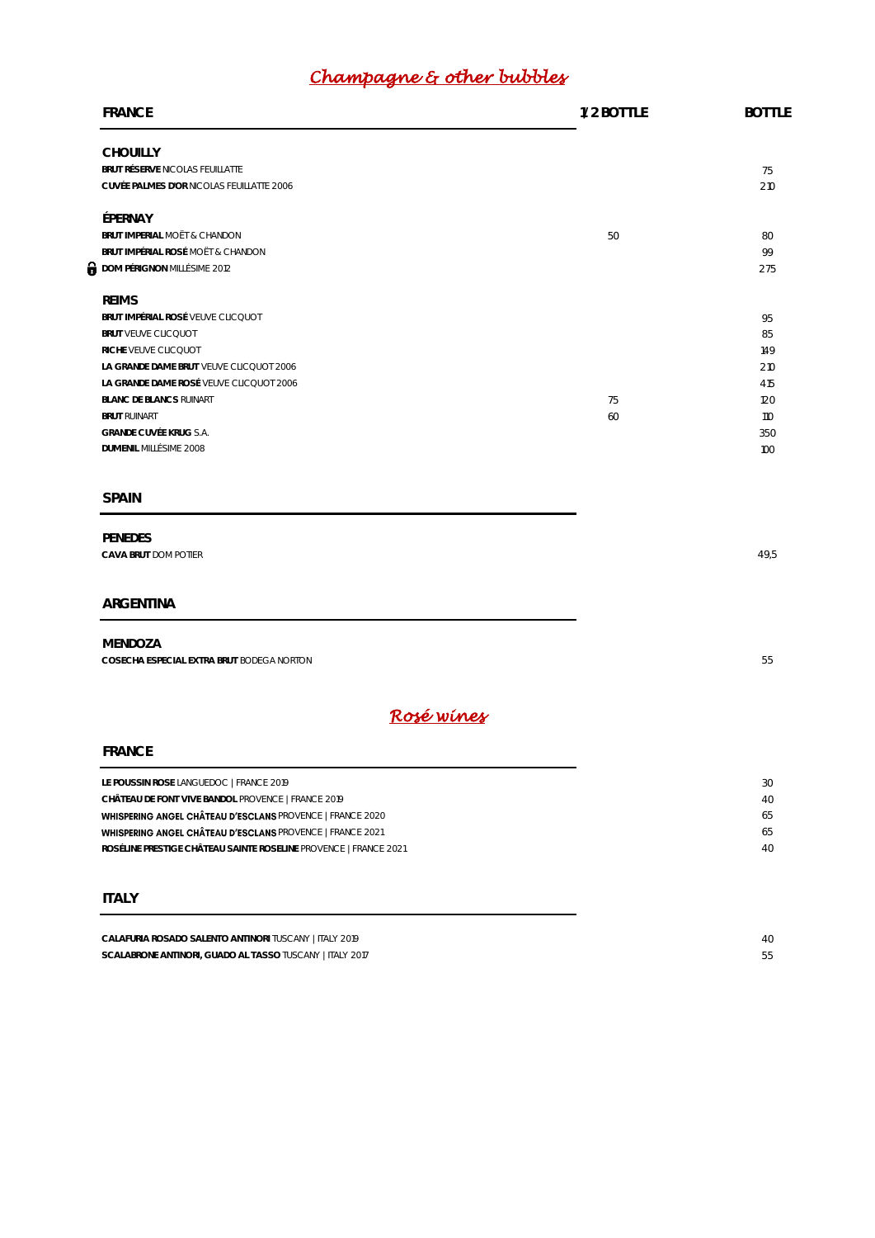# *Champagne & other bubbles*

| 1/2 BOTTLE | <b>BOTTLE</b> |
|------------|---------------|
|            | 75            |
|            | 210           |
|            |               |
| 50         | 80            |
|            | 99<br>275     |
|            |               |
|            | 95            |
|            | 85            |
|            | 149           |
|            | 210           |
|            | 415           |
| 75         | 120           |
|            | 110           |
|            | 350           |
|            | 100           |
|            |               |
|            |               |
|            | 49,5          |
|            |               |
|            |               |
|            | 55            |
|            |               |
|            |               |
|            |               |
|            | 30            |
|            | 40            |
|            | 65            |
|            | 65<br>40      |
|            |               |
|            |               |
|            | 40            |
|            | 60            |

SCALABRONE ANTINORI, GUADO AL TASSO TUSCANY | ITALY 2017 **55**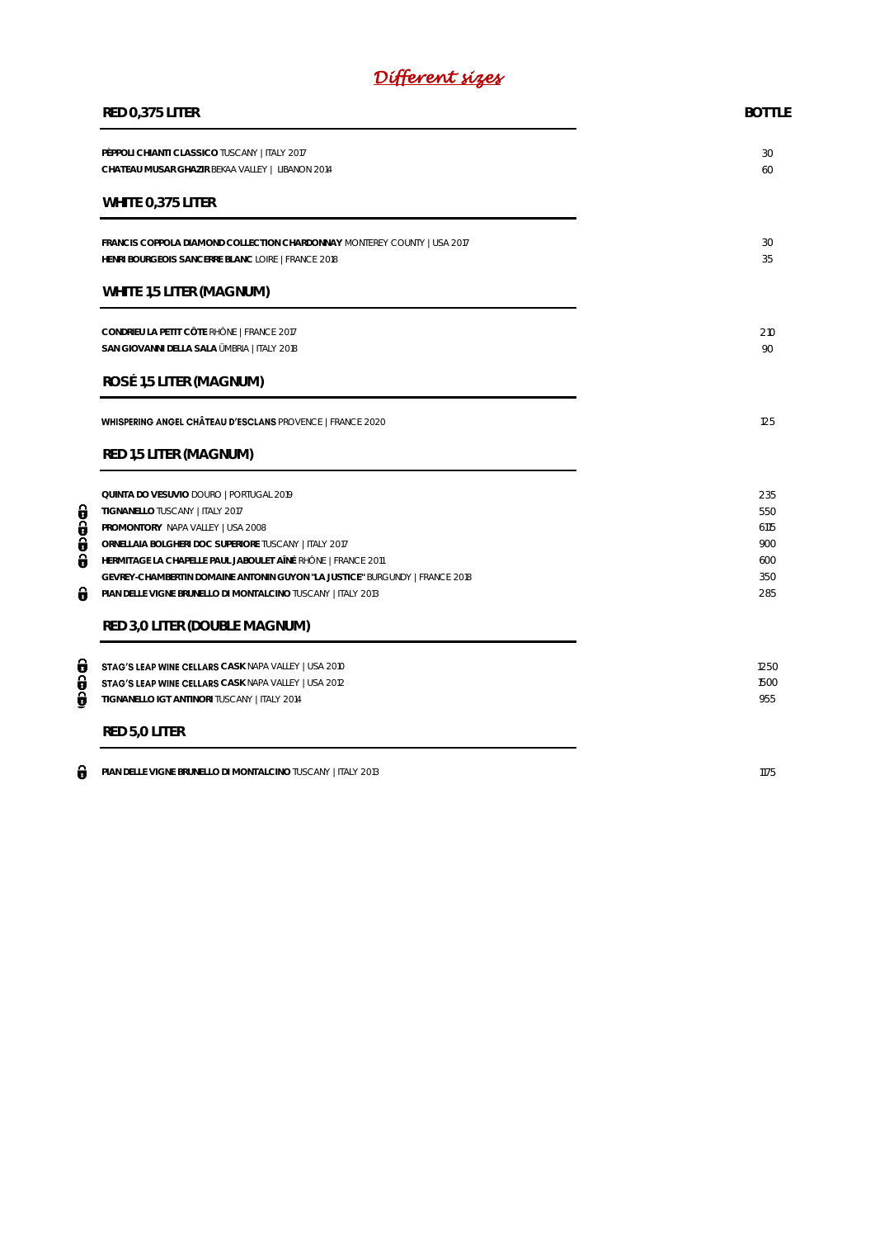# *Different sizes*

|             | RED 0,375 LITER                                                                                                                                                                                             | <b>BOTTLE</b>             |  |
|-------------|-------------------------------------------------------------------------------------------------------------------------------------------------------------------------------------------------------------|---------------------------|--|
|             | PÈPPOLI CHIANTI CLASSICO TUSCANY   ITALY 2017<br>CHATEAU MUSAR GHAZIR BEKAA VALLEY   LIBANON 2014                                                                                                           | 30<br>60                  |  |
|             | WHITE 0,375 LITER                                                                                                                                                                                           |                           |  |
|             | FRANCIS COPPOLA DIAMOND COLLECTION CHARDONNAY MONTEREY COUNTY   USA 2017<br>HENRI BOURGEOIS SANCERRE BLANC LOIRE   FRANCE 2018                                                                              | 30<br>35                  |  |
|             | WHITE 1,5 LITER (MAGNUM)                                                                                                                                                                                    |                           |  |
|             | CONDRIEU LA PETIT CÔTE RHÔNE   FRANCE 2017<br>SAN GIOVANNI DELLA SALA ÜMBRIA   ITALY 2018                                                                                                                   | 210<br>90                 |  |
|             | ROSÉ 1,5 LITER (MAGNUM)                                                                                                                                                                                     |                           |  |
|             | <b>WHISPERING ANGEL CHÂTEAU D'ESCLANS PROVENCE   FRANCE 2020</b>                                                                                                                                            | 125                       |  |
|             | RED 1,5 LITER (MAGNUM)                                                                                                                                                                                      |                           |  |
| θ<br>Õ<br>0 | QUINTA DO VESUVIO DOURO   PORTUGAL 2019<br>TIGNANELLO TUSCANY   ITALY 2017<br>PROMONTORY NAPA VALLEY   USA 2008<br>ORNELLAIA BOLGHERI DOC SUPERIORE TUSCANY   ITALY 2017                                    | 235<br>550<br>6115<br>900 |  |
| Ô<br>θ      | HERMITAGE LA CHAPELLE PAUL JABOULET AÎNÉ RHÔNE   FRANCE 2011<br>GEVREY-CHAMBERTIN DOMAINE ANTONIN GUYON "LA JUSTICE" BURGUNDY   FRANCE 2018<br>PIAN DELLE VIGNE BRUNELLO DI MONTALCINO TUSCANY   ITALY 2013 | 600<br>350<br>285         |  |
|             | RED 3,0 LITER (DOUBLE MAGNUM)                                                                                                                                                                               |                           |  |
| 0<br>θ<br>0 | <b>STAG'S LEAP WINE CELLARS</b> CASK NAPA VALLEY   USA 2010<br><b>STAG'S LEAP WINE CELLARS</b> CASK NAPA VALLEY   USA 2012<br>TIGNANELLO IGT ANTINORI TUSCANY   ITALY 2014                                  | 1250<br>1500<br>955       |  |
|             | RED 5,0 LITER                                                                                                                                                                                               |                           |  |
| θ           | PIAN DELLE VIGNE BRUNELLO DI MONTALCINO TUSCANY   ITALY 2013                                                                                                                                                | 1175                      |  |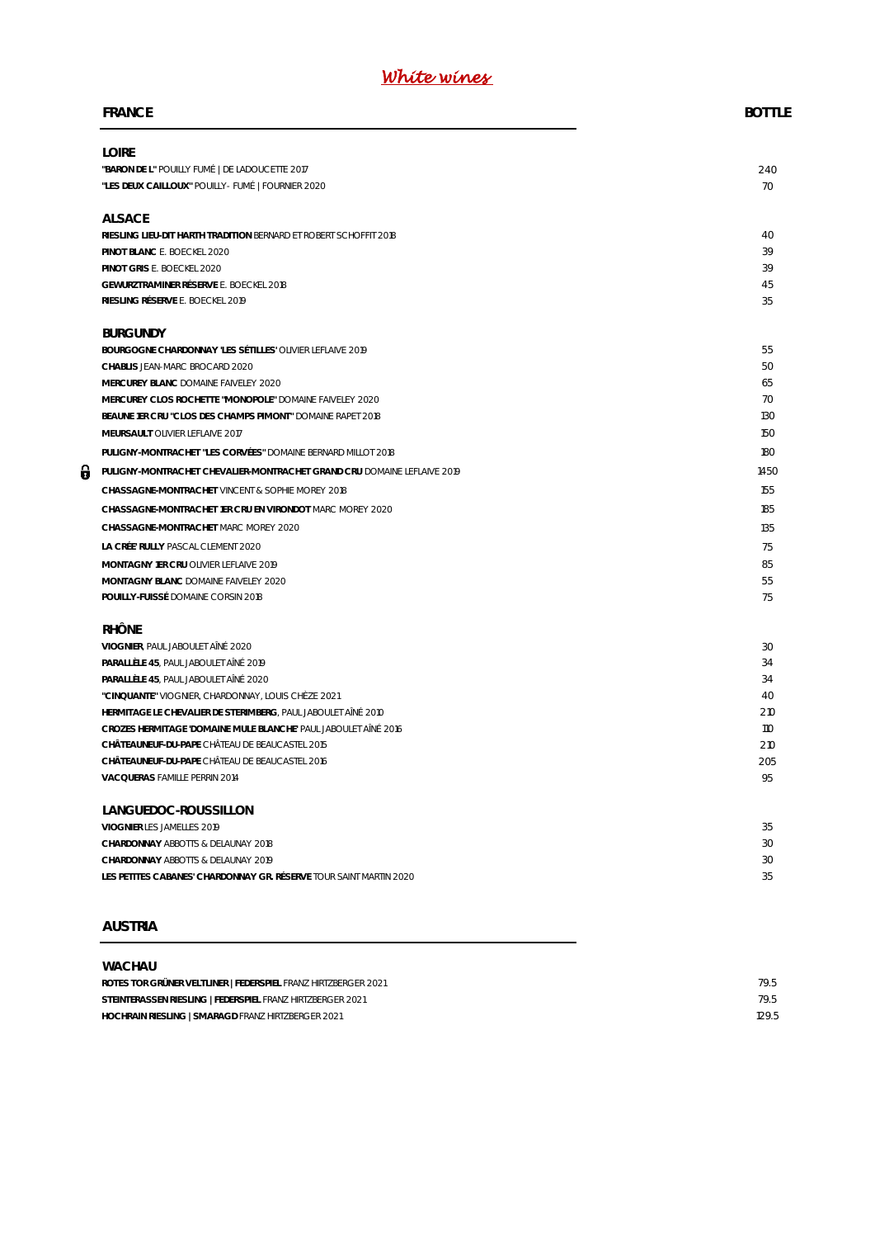# *White wines*

|   | <b>FRANCE</b>                                                                                 | <b>BOTTLE</b> |
|---|-----------------------------------------------------------------------------------------------|---------------|
|   | <b>LOIRE</b>                                                                                  |               |
|   | "BARON DE L" POUILLY FUMÉ   DE LADOUCETTE 2017                                                | 240           |
|   | "LES DEUX CAILLOUX" POUILLY- FUMÉ   FOURNIER 2020                                             | 70            |
|   | <b>ALSACE</b>                                                                                 |               |
|   | RIESLING LIEU-DIT HARTH TRADITION BERNARD ET ROBERT SCHOFFIT 2018                             | 40            |
|   | PINOT BLANC E. BOECKEL 2020                                                                   | 39            |
|   | PINOT GRIS E. BOECKEL 2020                                                                    | 39            |
|   | GEWURZTRAMINER RÉSERVE E. BOECKEL 2018                                                        | 45            |
|   | RIESLING RÉSERVE E. BOECKEL 2019                                                              | 35            |
|   | <b>BURGUNDY</b>                                                                               |               |
|   | BOURGOGNE CHARDONNAY 'LES SÉTILLES' OLIVIER LEFLAIVE 2019                                     | 55            |
|   | CHABLIS JEAN-MARC BROCARD 2020                                                                | 50            |
|   | MERCUREY BLANC DOMAINE FAIVELEY 2020                                                          | 65            |
|   | MERCUREY CLOS ROCHETTE "MONOPOLE" DOMAINE FAIVELEY 2020                                       | 70<br>130     |
|   | BEAUNE 1ER CRU "CLOS DES CHAMPS PIMONT" DOMAINE RAPET 2018<br>MEURSAULT OLIVIER LEFLAIVE 2017 | 150           |
|   |                                                                                               | 180           |
|   | PULIGNY-MONTRACHET "LES CORVÉES" DOMAINE BERNARD MILLOT 2018                                  |               |
| θ | PULIGNY-MONTRACHET CHEVALIER-MONTRACHET GRAND CRU DOMAINE LEFLAIVE 2019                       | 1450          |
|   | CHASSAGNE-MONTRACHET VINCENT & SOPHIE MOREY 2018                                              | 155           |
|   | CHASSAGNE-MONTRACHET 1ER CRU EN VIRONDOT MARC MOREY 2020                                      | 185           |
|   | CHASSAGNE-MONTRACHET MARC MOREY 2020                                                          | 135           |
|   | LA CRÉE' RULLY PASCAL CLEMENT 2020                                                            | 75            |
|   | MONTAGNY 1ER CRU OLIVIER LEFLAIVE 2019                                                        | 85            |
|   | MONTAGNY BLANC DOMAINE FAIVELEY 2020<br>POUILLY-FUISSÉ DOMAINE CORSIN 2018                    | 55<br>75      |
|   |                                                                                               |               |
|   | <b>RHÔNE</b>                                                                                  |               |
|   | VIOGNIER, PAUL JABOULET AINÉ 2020                                                             | 30            |
|   | PARALLÈLE 45, PAUL JABOULET AINÉ 2019<br>PARALLÈLE 45, PAUL JABOULET AINÉ 2020                | 34<br>34      |
|   | "CINQUANTE" VIOGNIER, CHARDONNAY, LOUIS CHÈZE 2021                                            | 40            |
|   | HERMITAGE LE CHEVALIER DE STERIMBERG. PAUL JABOULET AÎNÉ 2010                                 | 210           |
|   | CROZES HERMITAGE 'DOMAINE MULE BLANCHE' PAUL JABOULET AINÉ 2016                               | 110           |
|   | CHÂTEAUNEUF-DU-PAPE CHÂTEAU DE BEAUCASTEL 2015                                                | 210           |
|   | CHÂTFAUNEUF-DU-PAPE CHÂTFAU DE BEAUCASTEL 2016                                                | 205           |
|   | VACQUERAS FAMILLE PERRIN 2014                                                                 | 95            |
|   | LANGUEDOC-ROUSSILLON                                                                          |               |
|   | VIOGNIER LES JAMELLES 2019                                                                    | 35            |
|   | CHARDONNAY ABBOTTS & DELAUNAY 2018                                                            | 30            |
|   | CHARDONNAY ABBOTTS & DELAUNAY 2019                                                            | 30            |
|   | LES PETITES CABANES' CHARDONNAY GR. RÉSERVE TOUR SAINT MARTIN 2020                            | 35            |
|   |                                                                                               |               |

# **AUSTRIA**

#### **WACHAU**

| ROTES TOR GRÜNER VELTLINER   FEDERSPIEL FRANZ HIRTZBERGER 2021 | 79.5  |
|----------------------------------------------------------------|-------|
| STEINTERASSEN RIESLING   FEDERSPIEL FRANZ HIRTZBERGER 2021     | 79.5  |
| HOCHRAIN RIESLING   SMARAGD FRANZ HIRTZBERGER 2021             | 129.5 |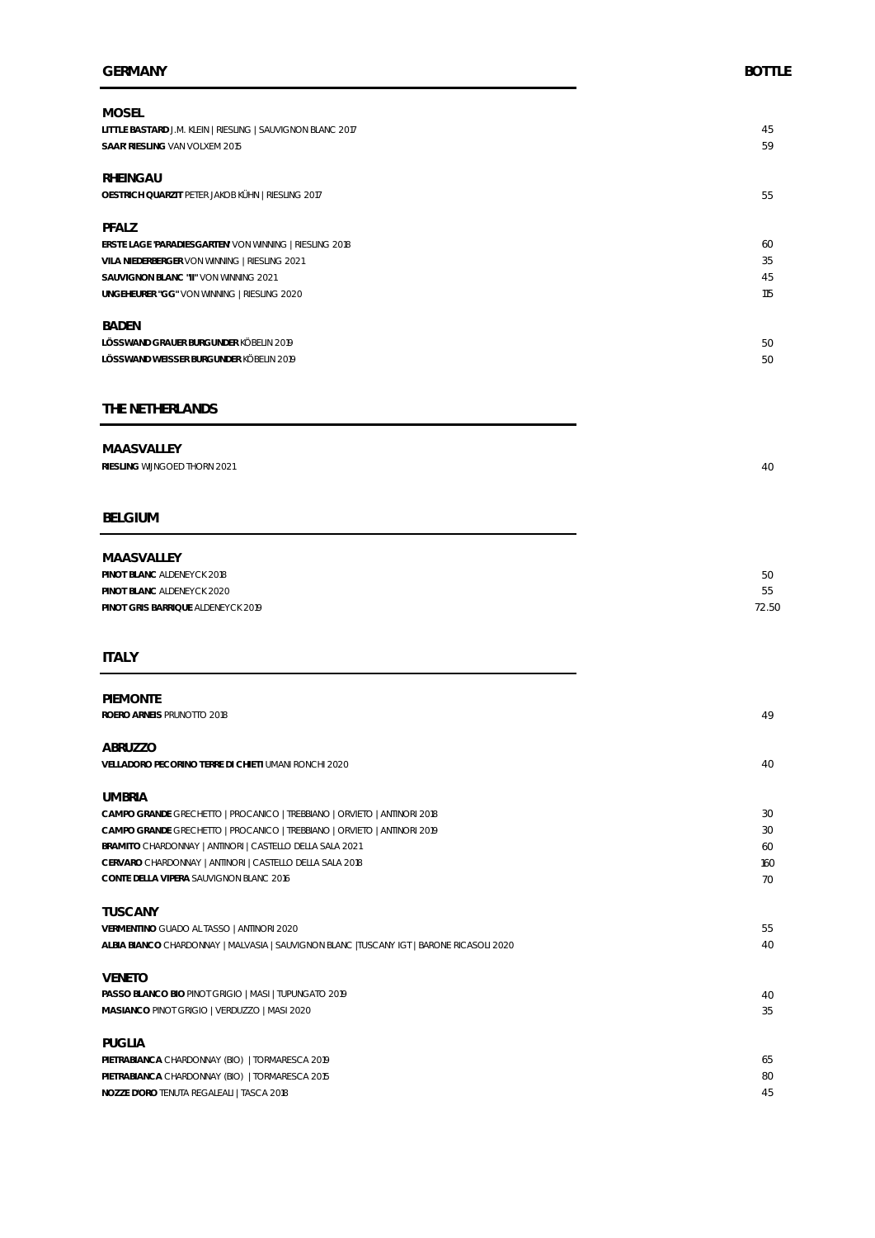| <b>MOSEL</b>                                                |     |
|-------------------------------------------------------------|-----|
| LITTLE BASTARD J.M. KLEIN   RIESLING   SAUVIGNON BLANC 2017 | 45  |
| SAAR' RIESLING VAN VOLXEM 2015                              | 59  |
| RHEINGAU                                                    |     |
| OESTRICH QUARZIT PETER JAKOB KÜHN   RIESLING 2017           | 55  |
| PFALZ                                                       |     |
| ERSTE LAGE 'PARADIESGARTEN' VON WINNING   RIESLING 2018     | 60  |
| VILA NIEDERBERGER VON WINNING   RIESLING 2021               | 35  |
| SAUVIGNON BLANC "II" VON WINNING 2021                       | 45  |
| UNGEHEURER "GG" VON WINNING   RIESLING 2020                 | 115 |
| <b>BADEN</b>                                                |     |
| LÖSSWAND GRAUER BURGUNDER KÖBELIN 2019                      | 50  |
| LÖSSWAND WEISSER BURGUNDER KÖBELIN 2019                     | 50  |

#### **THE NETHERLANDS**

#### **MAASVALLEY**

| RIESLING WIJNGOED THORN 2021 |  |
|------------------------------|--|
|                              |  |

#### **BELGIUM**

| MAASVALLEY                         |       |
|------------------------------------|-------|
| PINOT BLANC ALDENEYCK 2018         | 50    |
| PINOT BLANC ALDENEYCK 2020         | 55    |
| PINOT GRIS BARRIQUE ALDENEYCK 2019 | 72.50 |

#### **ITALY**

| <b>PIFMONTE</b>                                                                           |     |
|-------------------------------------------------------------------------------------------|-----|
| ROERO ARNEIS PRUNOTTO 2018                                                                | 49  |
| ABRUZZO                                                                                   |     |
| VELLADORO PECORINO TERRE DI CHIETI UMANI RONCHI 2020                                      | 40  |
| <b>UMBRIA</b>                                                                             |     |
| CAMPO GRANDE GRECHETTO   PROCANICO   TREBBIANO   ORVIETO   ANTINORI 2018                  | 30  |
| CAMPO GRANDE GRECHETTO   PROCANICO   TREBBIANO   ORVIETO   ANTINORI 2019                  | 30  |
| BRAMITO CHARDONNAY   ANTINORI   CASTELLO DELLA SALA 2021                                  | 60  |
| CERVARO CHARDONNAY   ANTINORI   CASTELLO DELLA SALA 2018                                  | 160 |
| CONTE DELLA VIPERA SAUVIGNON BLANC 2016                                                   | 70  |
| <b>TUSCANY</b>                                                                            |     |
| VERMENTINO GUADO AL TASSO   ANTINORI 2020                                                 | 55  |
| ALBIA BIANCO CHARDONNAY   MALVASIA   SAUVIGNON BLANC   TUSCANY IGT   BARONE RICASOLI 2020 | 40  |
| <b>VENETO</b>                                                                             |     |
| PASSO BLANCO BIO PINOT GRIGIO   MASI   TUPUNGATO 2019                                     | 40  |
| MASIANCO PINOT GRIGIO   VERDUZZO   MASI 2020                                              | 35  |
| PUGLIA                                                                                    |     |
| PIETRABIANCA CHARDONNAY (BIO)   TORMARESCA 2019                                           | 65  |
| PIETRABIANCA CHARDONNAY (BIO)   TORMARESCA 2015                                           | 80  |
| NOZZE D'ORO TENUTA REGALEALI   TASCA 2018                                                 | 45  |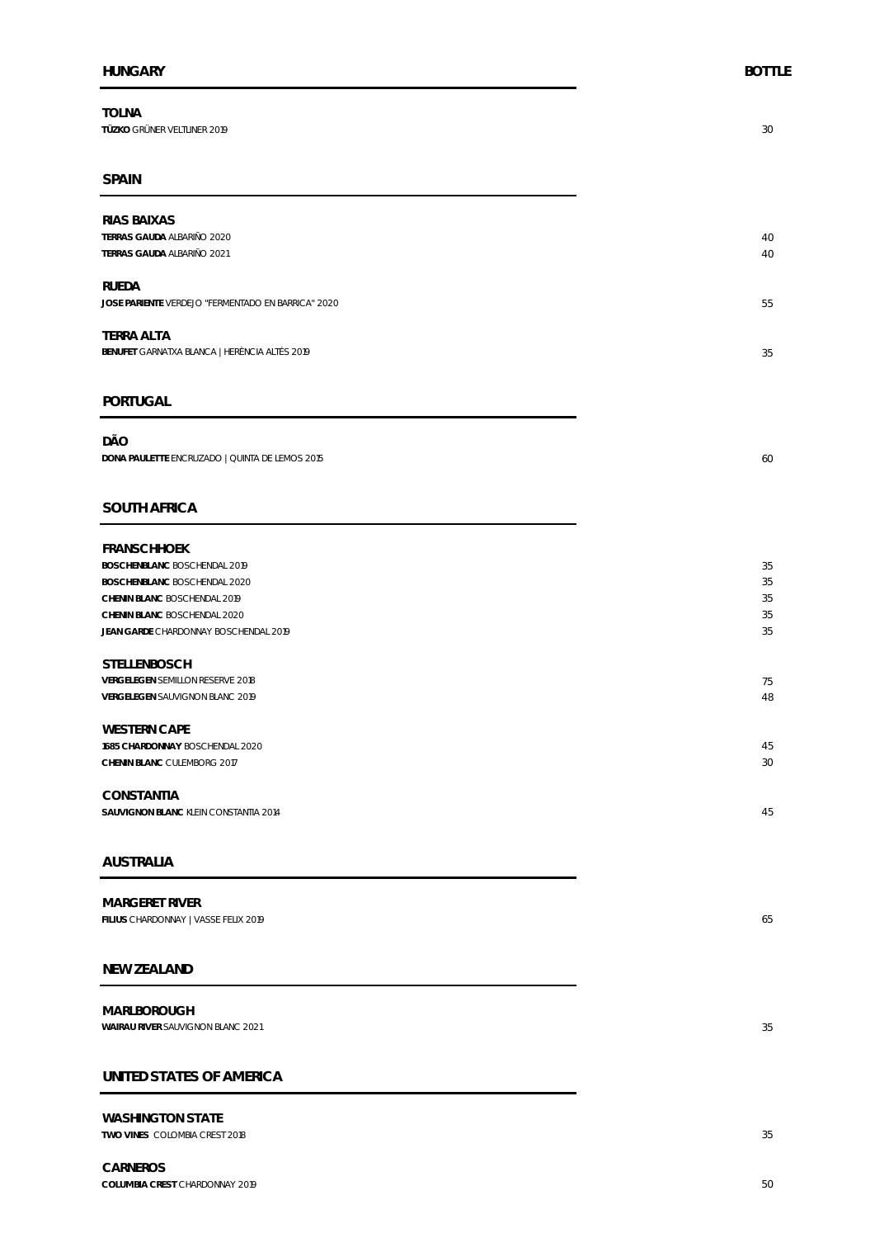**TOLNA TÜZKO** GRÜNER VELTLINER 2019 30

#### **SPAIN**

| RIAS BAIXAS                                        |    |
|----------------------------------------------------|----|
| TERRAS GAUDA ALBARIÑO 2020                         | 40 |
| TERRAS GAUDA ALBARIÑO 2021                         | 40 |
|                                                    |    |
| RUEDA                                              |    |
| JOSE PARIENTE VERDEJO "FERMENTADO EN BARRICA" 2020 | 55 |
|                                                    |    |
| <b>TERRA ALTA</b>                                  |    |
| BENUFET GARNATXA BLANCA   HERÈNCIA ALTÉS 2019      | 35 |
|                                                    |    |
|                                                    |    |

#### **PORTUGAL**

**DÃO DONA PAULETTE** ENCRUZADO | QUINTA DE LEMOS 2015 60

#### **SOUTH AFRICA**

| <b>FRANSCHHOEK</b>                    |    |
|---------------------------------------|----|
| BOSCHENBLANC BOSCHENDAL 2019          | 35 |
| BOSCHENBLANC BOSCHENDAL 2020          | 35 |
| CHENIN BLANC BOSCHENDAL 2019          | 35 |
| CHENIN BLANC BOSCHENDAL 2020          | 35 |
| JEAN GARDE CHARDONNAY BOSCHENDAL 2019 | 35 |
|                                       |    |
| <b>STELLENBOSCH</b>                   |    |
| VERGELEGEN SEMILLON RESERVE 2018      | 75 |
| VERGELEGEN SAUVIGNON BLANC 2019       | 48 |
|                                       |    |
| <b>WESTERN CAPE</b>                   |    |
| 1685 CHARDONNAY BOSCHENDAL 2020       | 45 |
| CHENIN BLANC CULEMBORG 2017           | 30 |
|                                       |    |
| <b>CONSTANTIA</b>                     |    |
| SAUVIGNON BLANC KLEIN CONSTANTIA 2014 | 45 |

#### **AUSTRALIA**

| MARGERET RIVER                       |    |
|--------------------------------------|----|
| FILIUS CHARDONNAY   VASSE FELIX 2019 | 65 |
|                                      |    |

#### **NEW ZEALAND**

**MARLBOROUGH WAIRAU RIVER** SAUVIGNON BLANC 2021 35

#### **UNITED STATES OF AMERICA**

**WASHINGTON STATE TWO VINES** COLOMBIA CREST 2018 35

**CARNEROS COLUMBIA CREST** CHARDONNAY 2019 50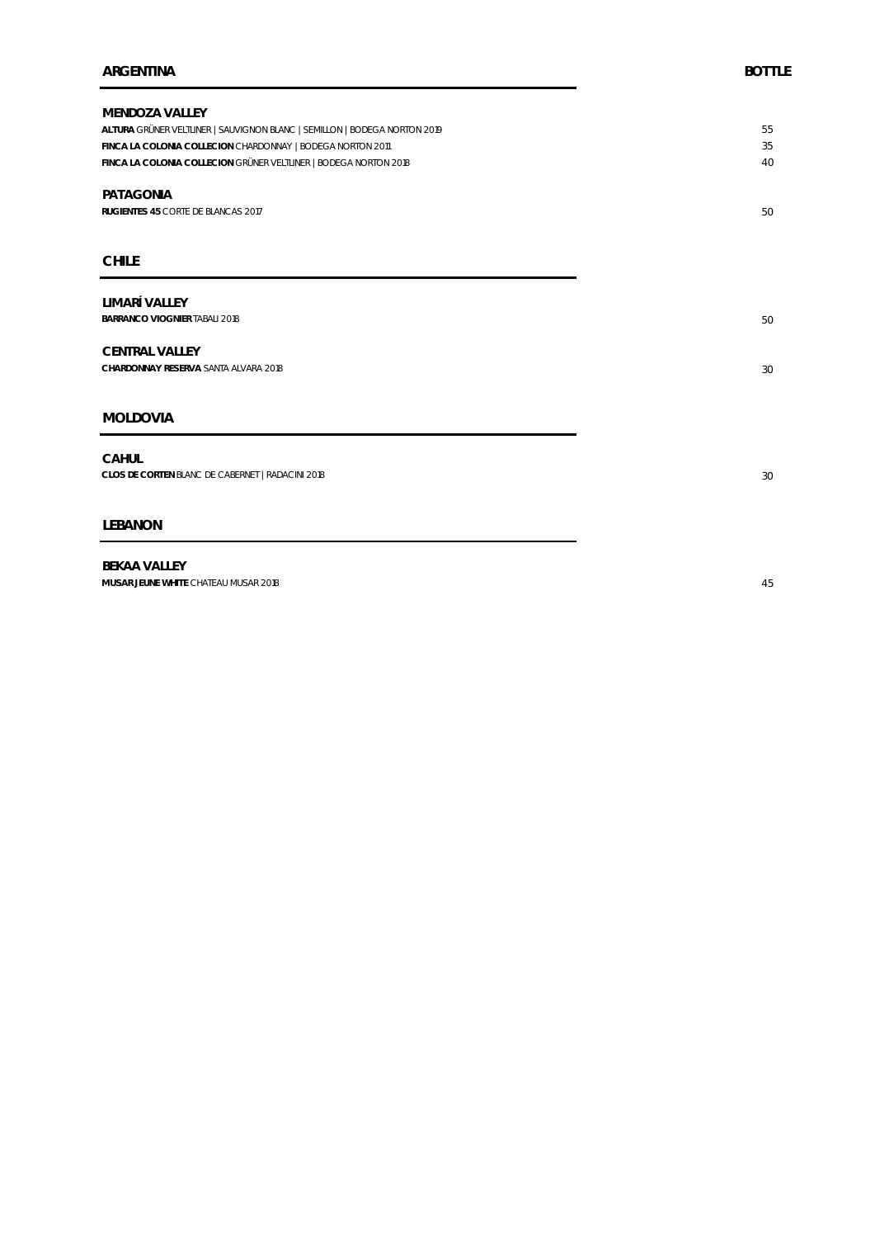| MENDOZA VALLEY                                                            |    |
|---------------------------------------------------------------------------|----|
| ALTURA GRÜNER VELTLINER   SAUVIGNON BLANC   SEMILLON   BODEGA NORTON 2019 | 55 |
| FINCA LA COLONIA COLLECION CHARDONNAY   BODEGA NORTON 2011                | 35 |
| FINCA LA COLONIA COLLECION GRÜNER VELTLINER   BODEGA NORTON 2018          | 40 |
| PATAGONIA                                                                 |    |
| RUGIENTES 45 CORTE DE BLANCAS 2017                                        | 50 |
|                                                                           |    |
| <b>CHILE</b>                                                              |    |
|                                                                           |    |
| LIMARÍ VALLEY                                                             |    |
| BARRANCO VIOGNIER TABALI 2018                                             | 50 |
| <b>CENTRAL VALLEY</b>                                                     |    |
| CHARDONNAY RESERVA SANTA ALVARA 2018                                      | 30 |
|                                                                           |    |
| MOLDOVIA                                                                  |    |
|                                                                           |    |
| CAHUL                                                                     |    |
| CLOS DE CORTEN BLANC DE CABERNET   RADACINI 2018                          | 30 |
|                                                                           |    |
| LEBANON                                                                   |    |
| <b>DEVAA VALLEV</b>                                                       |    |

**BEKAA VALLEY MUSAR JEUNE WHITE** CHATEAU MUSAR 2018 45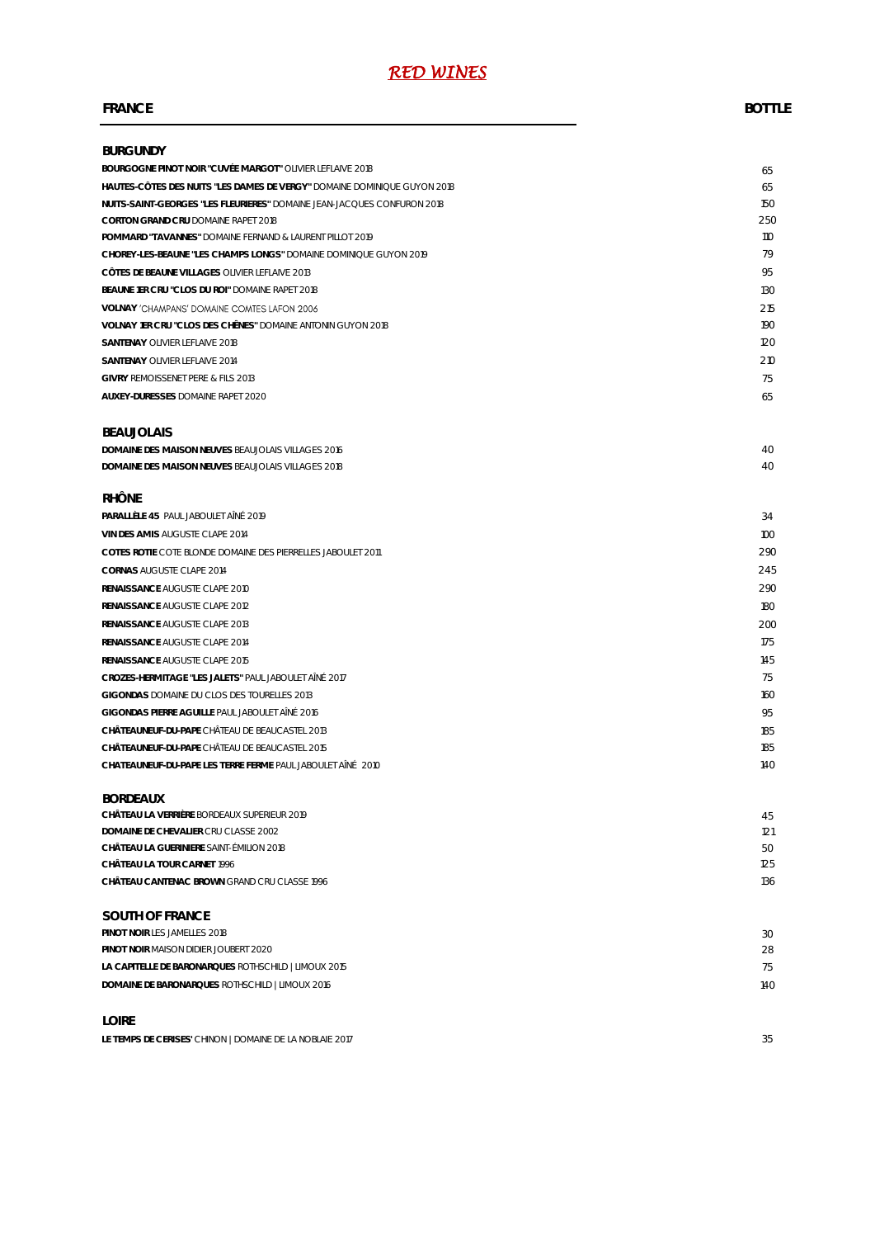#### **FRANCE BOTTLE**

| <b>BURGUNDY</b>                                                          |     |
|--------------------------------------------------------------------------|-----|
| BOURGOGNE PINOT NOIR "CUVÉE MARGOT" OLIVIER LEFLAIVE 2018                | 65  |
| HAUTES-CÔTES DES NUITS "LES DAMES DE VERGY" DOMAINE DOMINIQUE GUYON 2018 | 65  |
| NUITS-SAINT-GEORGES "LES FLEURIERES" DOMAINE JEAN-JACQUES CONFURON 2018  | 150 |
| CORTON GRAND CRU DOMAINE RAPET 2018                                      | 250 |
| POMMARD "TAVANNES" DOMAINE FERNAND & LAURENT PILLOT 2019                 | 110 |
| CHOREY-LES-BEAUNE "LES CHAMPS LONGS" DOMAINE DOMINIQUE GUYON 2019        | 79  |
| CÔTES DE BEAUNE VILLAGES OLIVIER LEFLAIVE 2013                           | 95  |
| BEAUNE 1ER CRU "CLOS DU ROI" DOMAINE RAPET 2018                          | 130 |
| VOLNAY 'CHAMPANS' DOMAINE COMTES LAFON 2006                              | 215 |
| VOLNAY 1ER CRU "CLOS DES CHÊNES" DOMAINE ANTONIN GUYON 2018              | 190 |
| SANTENAY OLIVIER LEFLAIVE 2018                                           | 120 |
| SANTENAY OLIVIER LEFLAIVE 2014                                           | 210 |
| <b>GIVRY REMOISSENET PERE &amp; FILS 2013</b>                            | 75  |
| AUXEY-DURESSES DOMAINE RAPET 2020                                        | 65  |
|                                                                          |     |
| <b>BEAUJOLAIS</b>                                                        |     |
| DOMAINE DES MAISON NEUVES BEAUJOLAIS VILLAGES 2016                       | 40  |
| DOMAINE DES MAISON NEUVES BEAUJOLAIS VILLAGES 2018                       | 40  |
| <b>RHÔNE</b>                                                             |     |
| PARALLÈLE 45 PAUL JABOULET AINÉ 2019                                     | 34  |
| VIN DES AMIS AUGUSTE CLAPE 2014                                          | 100 |
| COTES ROTIE COTE BLONDE DOMAINE DES PIERRELLES JABOULET 2011             | 290 |
| <b>CORNAS AUGUSTE CLAPE 2014</b>                                         | 245 |
| RENAISSANCE AUGUSTE CLAPE 2010                                           | 290 |
| RENAISSANCE AUGUSTE CLAPE 2012                                           | 180 |
| RENAISSANCE AUGUSTE CLAPE 2013                                           | 200 |
| RENAISSANCE AUGUSTE CLAPE 2014                                           | 175 |
| RENAISSANCE AUGUSTE CLAPE 2015                                           | 145 |
| CROZES-HERMITAGE "LES JALETS" PAUL JABOULET AINÉ 2017                    | 75  |
| GIGONDAS DOMAINE DU CLOS DES TOURELLES 2013                              | 160 |
| GIGONDAS PIERRE AGUILLE PAUL JABOULET AINÉ 2016                          | 95  |
| CHÂTEAUNEUF-DU-PAPE CHÂTEAU DE BEAUCASTEL 2013                           | 185 |
| CHÂTEAUNEUF-DU-PAPE CHÂTEAU DE BEAUCASTEL 2015                           | 185 |
| CHATEAUNEUF-DU-PAPE LES TERRE FERME PAUL JABOULET AÎNÉ 2010              | 140 |
| <b>BORDEAUX</b>                                                          |     |
| CHÂTEAU LA VERRIÈRE BORDEAUX SUPERIEUR 2019                              | 45  |
| DOMAINE DE CHEVALIER CRU CLASSE 2002                                     | 121 |
| CHÂTEAU LA GUERINIERE SAINT-ÉMILION 2018                                 | 50  |
| CHÂTEAU LA TOUR CARNET 1996                                              | 125 |
| CHĂTEAU CANTENAC BROWN GRAND CRU CLASSE 1996                             | 136 |
| SOUTH OF FRANCE                                                          |     |
| PINOT NOIR LES JAMELLES 2018                                             | 30  |
| PINOT NOIR MAISON DIDIER JOUBERT 2020                                    | 28  |
| LA CAPITELLE DE BARONARQUES ROTHSCHILD   LIMOUX 2015                     | 75  |
| DOMAINE DE BARONARQUES ROTHSCHILD   LIMOUX 2016                          | 140 |
| LOIRE                                                                    |     |
| LE TEMPS DE CERISES' CHINON   DOMAINE DE LA NOBLAIE 2017                 | 35  |
|                                                                          |     |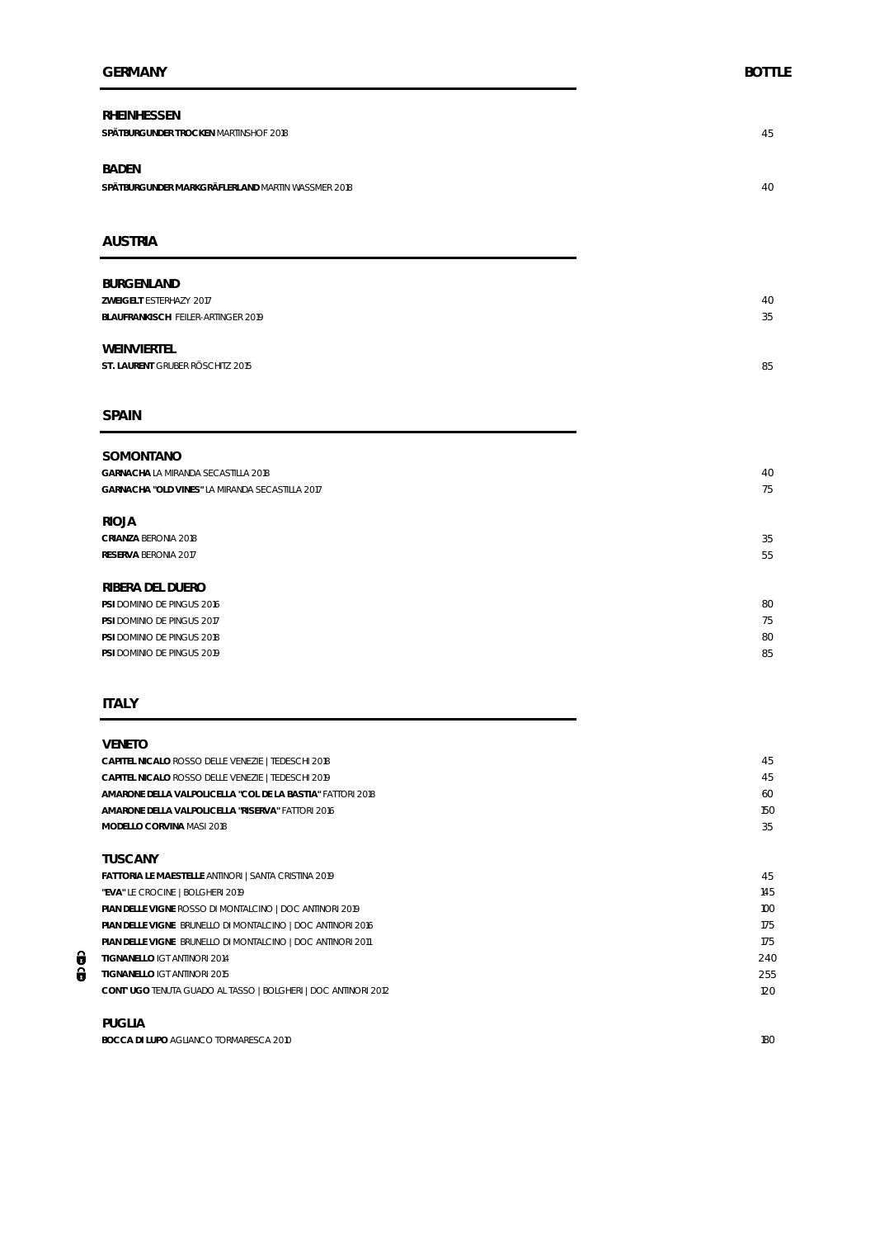| RHEINHESSEN<br>SPÄTBURGUNDER TROCKEN MARTINSHOF 2018                               | 45       |
|------------------------------------------------------------------------------------|----------|
| <b>BADEN</b><br>SPÄTBURGUNDER MARKGRÄFLERLAND MARTIN WASSMER 2018                  | 40       |
| <b>AUSTRIA</b>                                                                     |          |
| <b>BURGENLAND</b><br>ZWEIGELT ESTERHAZY 2017<br>BLAUFRANKISCH FEILER-ARTINGER 2019 | 40<br>35 |
| WEINVIERTEL<br>ST. LAURENT GRUBER RÖSCHITZ 2015                                    | 85       |
| <b>SPAIN</b>                                                                       |          |
| SOMONTANO<br>GARNACHA LA MIRANDA SECASTILLA 2018                                   | 40       |
| GARNACHA "OLD VINES" LA MIRANDA SECASTILLA 2017                                    | 75       |
| <b>RIOJA</b>                                                                       |          |
| CRIANZA BERONIA 2018<br>RESERVA BERONIA 2017                                       | 35<br>55 |
| RIBERA DEL DUERO                                                                   |          |
| PSI DOMINIO DE PINGUS 2016                                                         | 80       |
| PSI DOMINIO DE PINGUS 2017                                                         | 75       |
| PSI DOMINIO DE PINGUS 2018                                                         | 80       |
| PSI DOMINIO DE PINGUS 2019                                                         | 85       |

#### **ITALY**

#### **VENETO**

| CAPITEL NICALO ROSSO DELLE VENEZIE   TEDESCHI 2018             | 45  |
|----------------------------------------------------------------|-----|
| CAPITEL NICALO ROSSO DELLE VENEZIE   TEDESCHI 2019             | 45  |
| AMARONE DELLA VALPOLICELLA "COL DE LA BASTIA" FATTORI 2018     | 60  |
| AMARONE DELLA VALPOLICELLA "RISERVA" FATTORI 2016              | 150 |
| MODELLO CORVINA MASI 2018                                      | 35  |
|                                                                |     |
| TUSCANY                                                        |     |
| FATTORIA LE MAESTELLE ANTINORI   SANTA CRISTINA 2019           | 45  |
| "EVA" LE CROCINE   BOLGHERI 2019                               | 145 |
| PIAN DELLE VIGNE ROSSO DI MONTALCINO   DOC ANTINORI 2019       | 100 |
| PIAN DELLE VIGNE BRUNELLO DI MONTALCINO   DOC ANTINORI 2016    | 175 |
| PIAN DELLE VIGNE BRUNELLO DI MONTALCINO   DOC ANTINORI 2011    | 175 |
| TIGNANELLO IGT ANTINORI 2014                                   | 240 |
| TIGNANELLO IGT ANTINORI 2015                                   | 255 |
| CONT' UGO TENUTA GUADO AL TASSO   BOLGHERI   DOC ANTINORI 2012 | 120 |
|                                                                |     |

#### **PUGLIA**

 $\frac{1}{6}$ 

**BOCCA DI LUPO AGLIANCO TORMARESCA 2010** 180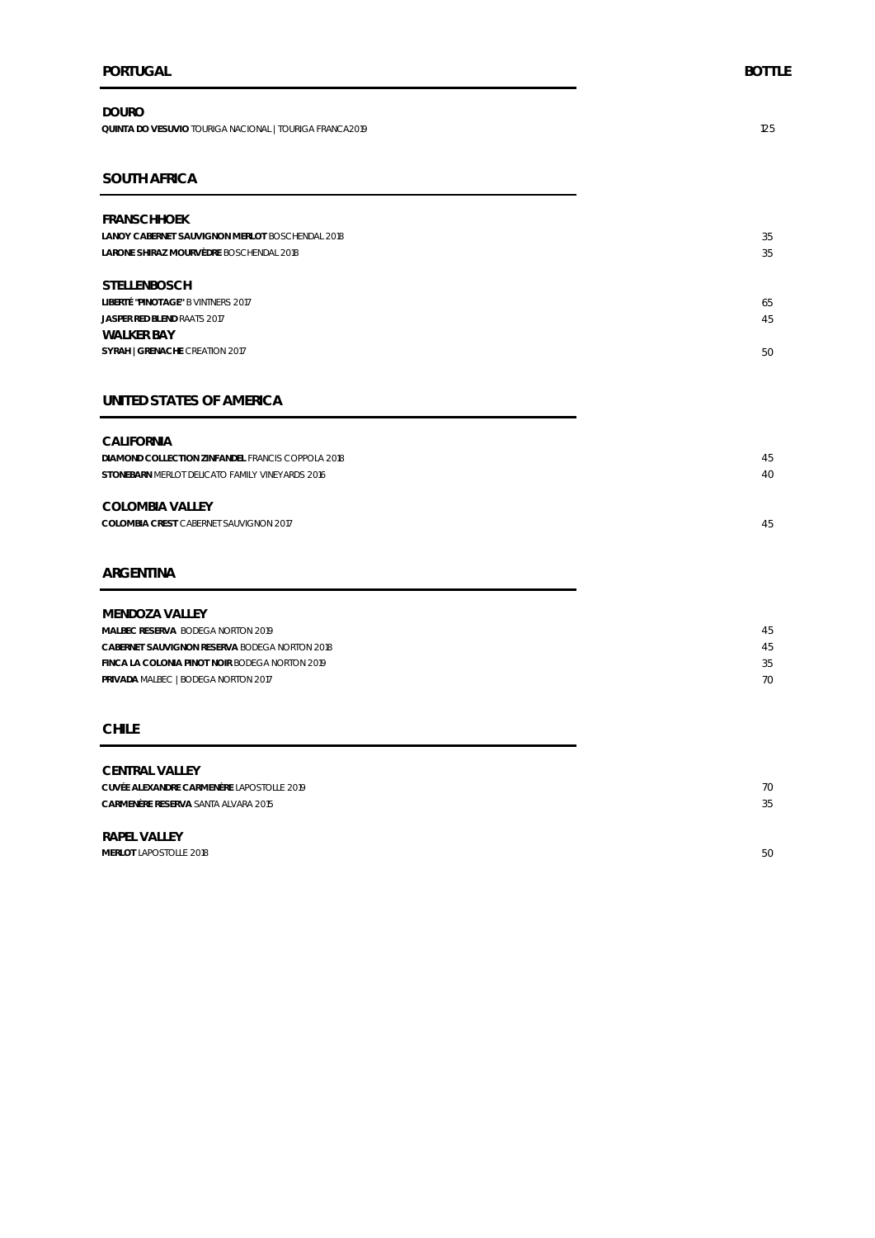#### **PORTUGAL BOTTLE**

**DOURO QUINTA DO VESUVIO** TOURIGA NACIONAL | TOURIGA FRANCA2019 125

#### **SOUTH AFRICA**

| <b>FRANSCHHOEK</b>                              |    |
|-------------------------------------------------|----|
| LANOY CABERNET SAUVIGNON MERLOT BOSCHENDAL 2018 | 35 |
| LARONE SHIRAZ MOURVÈDRE BOSCHENDAL 2018         | 35 |
|                                                 |    |
| <b>STELLENBOSCH</b>                             |    |
| LIBERTÉ "PINOTAGE" B VINTNERS 2017              | 65 |
| JASPER RED BLEND RAATS 2017                     | 45 |
| WAI KFR BAY                                     |    |
| SYRAH   GRENACHE CREATION 2017                  | 50 |
|                                                 |    |

#### **UNITED STATES OF AMERICA**

| CALIFORNIA                                        |    |
|---------------------------------------------------|----|
| DIAMOND COLLECTION ZINFANDEL FRANCIS COPPOLA 2018 | 45 |
| STONEBARN MERLOT DELICATO FAMILY VINEYARDS 2016   | 40 |
|                                                   |    |
| COLOMBIA VALLEY                                   |    |

**COLOMBIA VALLEY COLOMBIA CREST** CABERNET SAUVIGNON 2017 45

#### **ARGENTINA**

| MENDOZA VALLEY                                 |    |
|------------------------------------------------|----|
| MALBEC RESERVA BODEGA NORTON 2019              | 45 |
| CABERNET SAUVIGNON RESERVA BODEGA NORTON 2018  | 45 |
| FINCA LA COLONIA PINOT NOIR BODEGA NORTON 2019 | 35 |
| PRIVADA MALBEC   BODEGA NORTON 2017            | 70 |
|                                                |    |

#### **CHILE**

# **CENTRAL VALLEY CUVÉE ALEXANDRE CARMENÈRE** LAPOSTOLLE 2019 70 **CARMENÈRE RESERVA** SANTA ALVARA 2015 35 **RAPEL VALLEY**

**MERLOT LAPOSTOLLE 2018** 50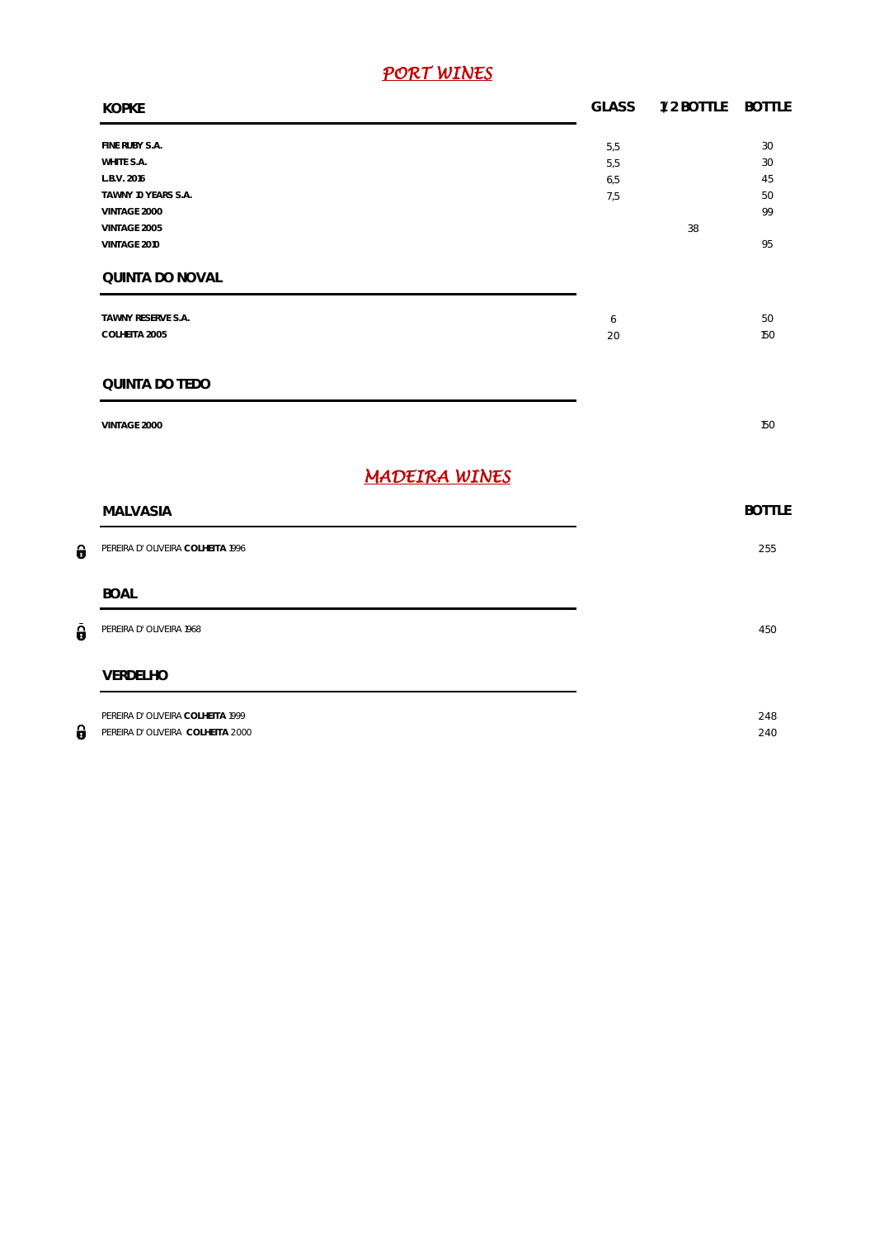# *PORT WINES*

| <b>KOPKE</b>                                                                                                                          | <b>GLASS</b>             | 1/2 BOTTLE | <b>BOTTLE</b>                    |
|---------------------------------------------------------------------------------------------------------------------------------------|--------------------------|------------|----------------------------------|
| FINE RUBY S.A.<br>WHITE S.A.<br>L.B.V. 2016<br>TAWNY 10 YEARS S.A.<br>VINTAGE 2000<br>VINTAGE 2005<br>VINTAGE 2010<br>QUINTA DO NOVAL | 5,5<br>5,5<br>6,5<br>7,5 | 38         | 30<br>30<br>45<br>50<br>99<br>95 |
| TAWNY RESERVE S.A.<br>COLHEITA 2005                                                                                                   | 6<br>20                  |            | 50<br>150                        |
| QUINTA DO TEDO                                                                                                                        |                          |            |                                  |
| VINTAGE 2000                                                                                                                          |                          |            | 150                              |
| <b>MADEIRA WINES</b>                                                                                                                  |                          |            |                                  |
| <b>MALVASIA</b>                                                                                                                       |                          |            | <b>BOTTLE</b>                    |
| PEREIRA D' OLIVEIRA COLHEITA 1996                                                                                                     |                          |            | 255                              |
| <b>BOAL</b>                                                                                                                           |                          |            |                                  |
| PEREIRA D' OLIVEIRA 1968                                                                                                              |                          |            | 450                              |
| VERDELHO                                                                                                                              |                          |            |                                  |
| PEREIRA D' OLIVEIRA COLHEITA 1999<br>PEREIRA D' OLIVEIRA COLHEITA 2000                                                                |                          |            | 248<br>240                       |

 $\theta$ 

 $\hat{\pmb{\theta}}$ 

 $\theta$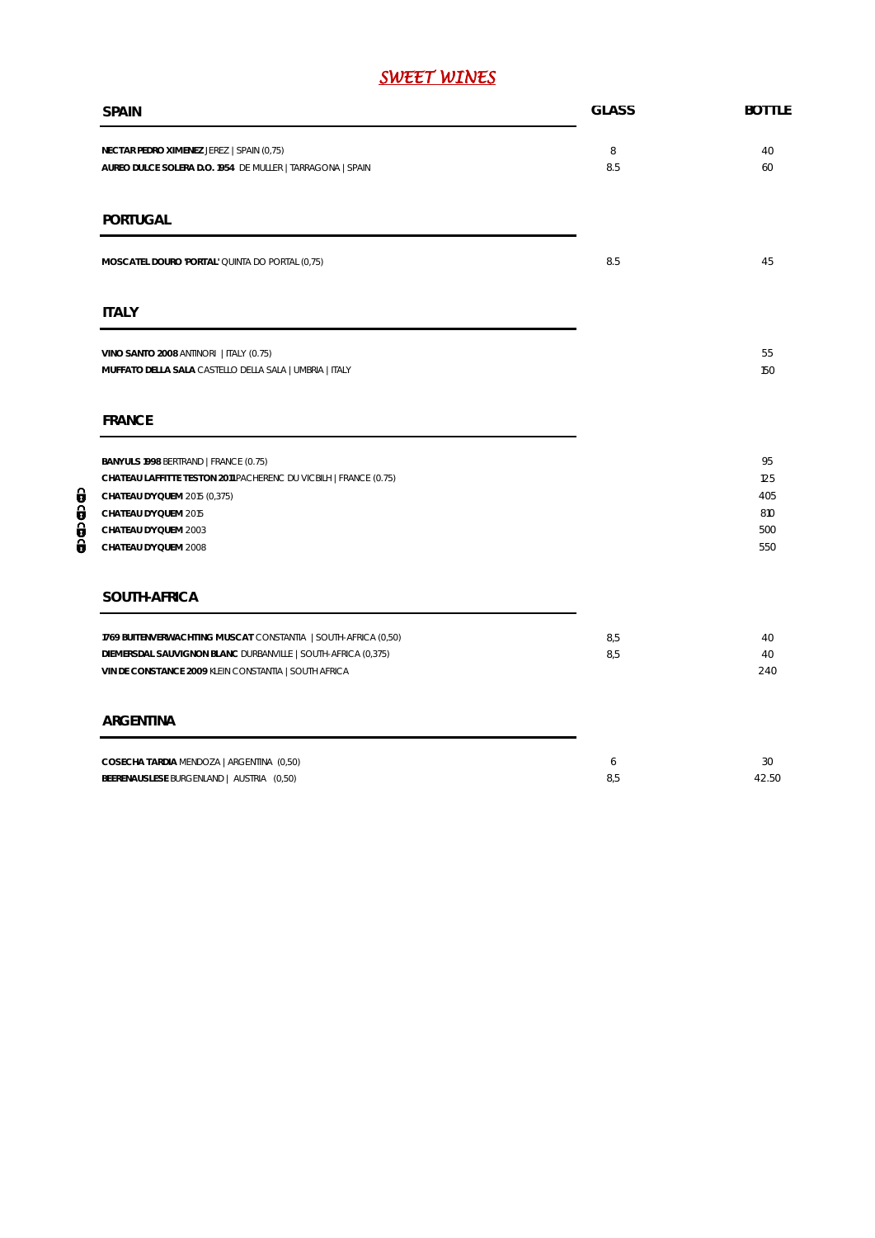# *SWEET WINES*

| <b>SPAIN</b>                                                                                                                                                                                                       | <b>GLASS</b> | <b>BOTTLE</b>                         |
|--------------------------------------------------------------------------------------------------------------------------------------------------------------------------------------------------------------------|--------------|---------------------------------------|
| NECTAR PEDRO XIMENEZ JEREZ   SPAIN (0,75)<br>AUREO DULCE SOLERA D.O. 1954 DE MULLER   TARRAGONA   SPAIN                                                                                                            | 8<br>8.5     | 40<br>60                              |
| PORTUGAL                                                                                                                                                                                                           |              |                                       |
| MOSCATEL DOURO 'PORTAL' QUINTA DO PORTAL (0,75)                                                                                                                                                                    | 8.5          | 45                                    |
| <b>ITALY</b>                                                                                                                                                                                                       |              |                                       |
| VINO SANTO 2008 ANTINORI   ITALY (0.75)<br>MUFFATO DELLA SALA CASTELLO DELLA SALA   UMBRIA   ITALY                                                                                                                 |              | 55<br>150                             |
| <b>FRANCE</b>                                                                                                                                                                                                      |              |                                       |
| BANYULS 1998 BERTRAND   FRANCE (0.75)<br>CHATEAU LAFFITTE TESTON 2011 PACHERENC DU VICBILH   FRANCE (0.75)<br>CHATEAU D'YQUEM 2015 (0,375)<br>CHATEAU D'YQUEM 2015<br>CHATEAU D'YQUEM 2003<br>CHATEAU D'YQUEM 2008 |              | 95<br>125<br>405<br>810<br>500<br>550 |
| SOUTH-AFRICA                                                                                                                                                                                                       |              |                                       |
| 1769 BUITENVERWACHTING MUSCAT CONSTANTIA   SOUTH-AFRICA (0,50)<br>DIEMERSDAL SAUVIGNON BLANC DURBANVILLE   SOUTH-AFRICA (0,375)<br>VIN DE CONSTANCE 2009 KLEIN CONSTANTIA   SOUTH AFRICA                           | 8,5<br>8,5   | 40<br>40<br>240                       |
| ARGENTINA                                                                                                                                                                                                          |              |                                       |
| COSECHA TARDIA MENDOZA   ARGENTINA (0,50)<br>BEERENAUSLESE BURGENLAND   AUSTRIA (0,50)                                                                                                                             | 6<br>8,5     | 30<br>42.50                           |

00000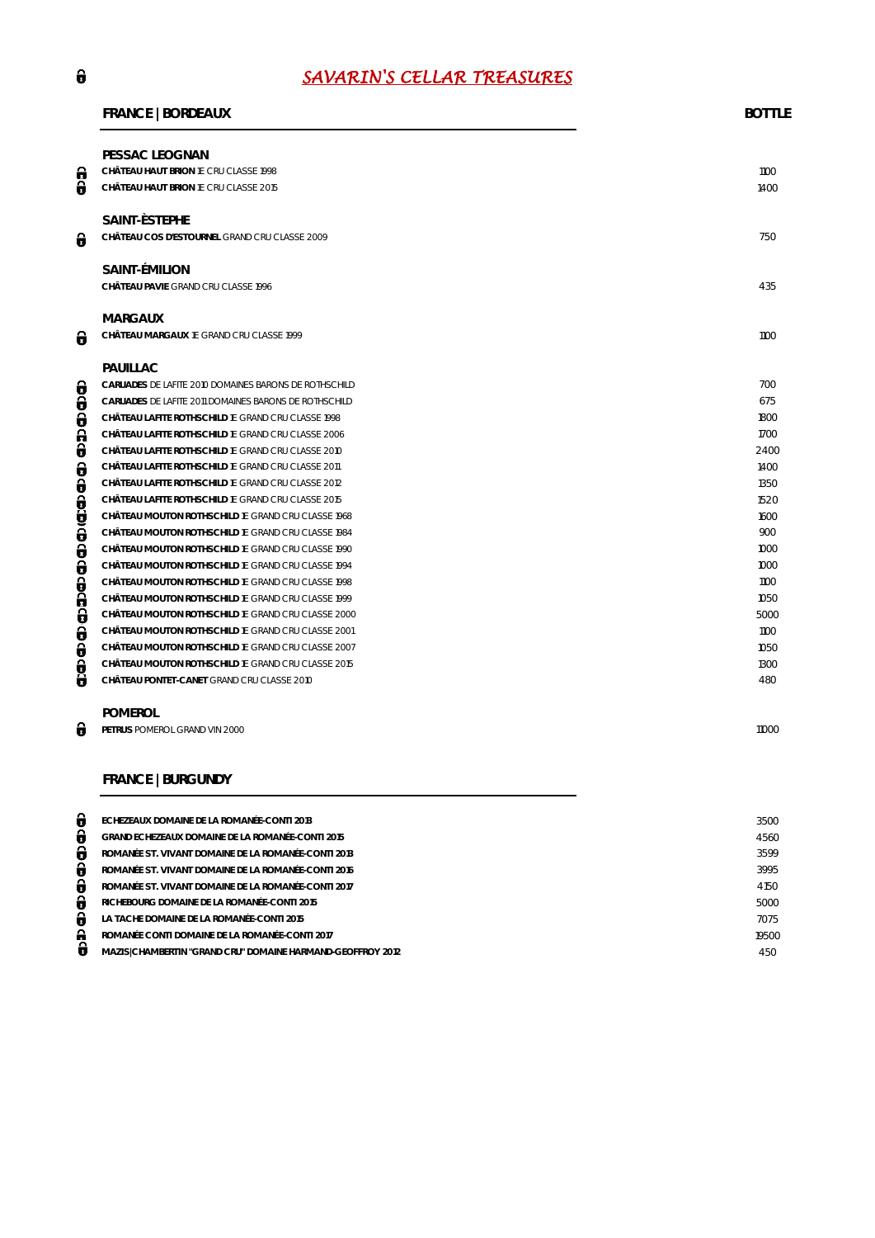# *SAVARIN'S CELLAR TREASURES*

#### **FRANCE | BORDEAUX BOTTLE**

| θ<br>θ   | PESSAC LEOGNAN<br>CHÂTEAU HAUT BRION 1E CRU CLASSE 1998<br>CHÂTEAU HAUT BRION 1E CRU CLASSE 2015 | 1100<br>1400 |
|----------|--------------------------------------------------------------------------------------------------|--------------|
| θ        | SAINT-ESTEPHE<br>CHÂTEAU COS D'ESTOURNEL GRAND CRU CLASSE 2009                                   | 750          |
|          | SAINT-ÉMILION<br>CHÂTEAU PAVIE GRAND CRU CLASSE 1996                                             | 435          |
| 0        | <b>MARGAUX</b><br>CHÂTEAU MARGAUX 1E GRAND CRU CLASSE 1999                                       | 1100         |
|          | PAUILLAC                                                                                         |              |
| θ        | CARUADES DE LAFITE 2010 DOMAINES BARONS DE ROTHSCHILD                                            | 700          |
| 0        | CARUADES DE LAFITE 2011 DOMAINES BARONS DE ROTHSCHILD                                            | 675          |
| θ        | CHÂTEAU LAFITE ROTHSCHILD 1E GRAND CRU CLASSE 1998                                               | 1800         |
| 0        | CHÂTEAU LAFITE ROTHSCHILD 1E GRAND CRU CLASSE 2006                                               | 1700         |
| θ        | CHÂTEAU LAFITE ROTHSCHILD 1E GRAND CRU CLASSE 2010                                               | 2400         |
| θ        | CHÂTEAU LAFITE ROTHSCHILD 1E GRAND CRU CLASSE 2011                                               | 1400         |
| 0        | CHÂTEAU LAFITE ROTHSCHILD 1E GRAND CRU CLASSE 2012                                               | 1350         |
|          | CHÂTEAU LAFITE ROTHSCHILD 1E GRAND CRU CLASSE 2015                                               | 1520         |
|          | CHÂTEAU MOUTON ROTHSCHILD 1E GRAND CRU CLASSE 1968                                               | 1600         |
| a<br>Sa  | CHÂTEAU MOUTON ROTHSCHILD 1E GRAND CRU CLASSE 1984                                               | 900          |
| 0        | CHÂTEAU MOUTON ROTHSCHILD 1E GRAND CRU CLASSE 1990                                               | 1000         |
| θ        | CHÂTEAU MOUTON ROTHSCHILD 1E GRAND CRU CLASSE 1994                                               | 1000         |
|          | CHÂTEAU MOUTON ROTHSCHILD 1E GRAND CRU CLASSE 1998                                               | 1100         |
| e<br>Sep | CHÂTEAU MOUTON ROTHSCHILD 1E GRAND CRU CLASSE 1999                                               | 1050         |
|          | CHÂTEAU MOUTON ROTHSCHILD 1E GRAND CRU CLASSE 2000                                               | 5000         |
| θ        | CHÂTEAU MOUTON ROTHSCHILD 1E GRAND CRU CLASSE 2001                                               | 1100         |
| 0        | CHÂTEAU MOUTON ROTHSCHILD 1E GRAND CRU CLASSE 2007                                               | 1050         |
|          | CHÂTEAU MOUTON ROTHSCHILD 1E GRAND CRU CLASSE 2015                                               | 1300         |
| ě<br>0   | CHÂTEAU PONTET-CANET GRAND CRU CLASSE 2010                                                       | 480          |
|          | <b>POMEROL</b>                                                                                   |              |
| θ        | PETRUS POMEROL GRAND VIN 2000                                                                    | 11000        |

# **FRANCE | BURGUNDY**

| θ | ECHEZEAUX DOMAINE DE LA ROMANÉE-CONTI 2013                 | 3500  |
|---|------------------------------------------------------------|-------|
| 8 | GRAND ECHEZEAUX DOMAINE DE LA ROMANÉE-CONTI 2015           | 4560  |
| 6 | ROMANÉE ST. VIVANT DOMAINE DE LA ROMANÉE-CONTI 2013        | 3599  |
| 8 | ROMANÉE ST. VIVANT DOMAINE DE LA ROMANÉE-CONTI 2016        | 3995  |
| 8 | ROMANÉE ST. VIVANT DOMAINE DE LA ROMANÉE-CONTI 2017        | 4150  |
| 8 | RICHEBOURG DOMAINE DE LA ROMANÉE-CONTI 2015                | 5000  |
| 8 | LA TACHE DOMAINE DE LA ROMANÉE-CONTI 2015                  | 7075  |
| А | ROMANÉE CONTI DOMAINE DE LA ROMANÉE-CONTI 2017             | 19500 |
| ø | MAZISICHAMBERTIN "GRAND CRU" DOMAINE HARMAND-GEOFFROY 2012 | 450   |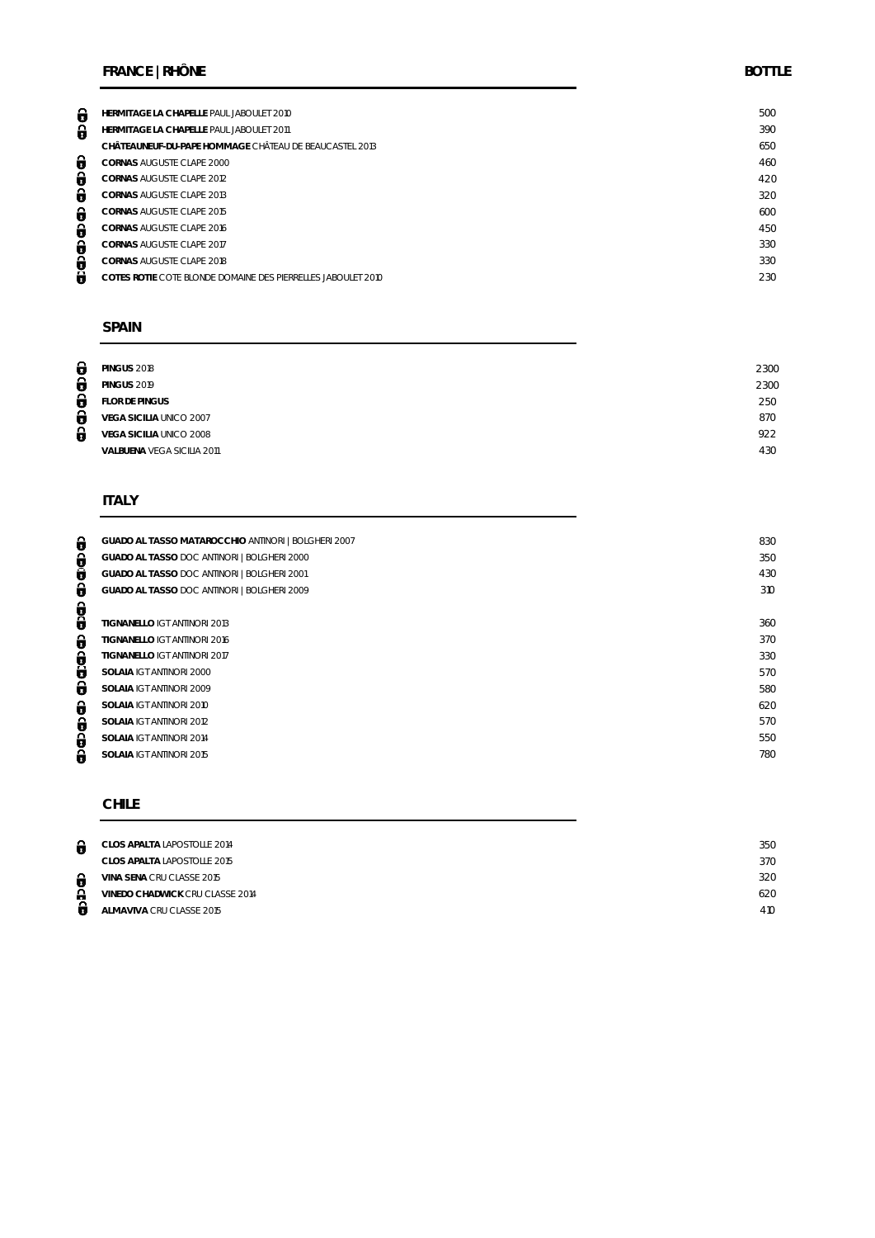## **FRANCE | RHÔNE BOTTLE**

| 0 | HERMITAGE LA CHAPELLE PAUL JABOULET 2010                     | 500 |
|---|--------------------------------------------------------------|-----|
| θ | HERMITAGE LA CHAPELLE PAUL JABOULET 2011                     | 390 |
|   | CHÂTEAUNEUF-DU-PAPE HOMMAGE CHÂTEAU DE BEAUCASTEL 2013       | 650 |
| θ | CORNAS AUGUSTE CLAPE 2000                                    | 460 |
| θ | CORNAS AUGUSTE CLAPE 2012                                    | 420 |
| θ | CORNAS AUGUSTE CLAPE 2013                                    | 320 |
| θ | <b>CORNAS AUGUSTE CLAPE 2015</b>                             | 600 |
| 0 | CORNAS AUGUSTE CLAPE 2016                                    | 450 |
| θ | <b>CORNAS AUGUSTE CLAPE 2017</b>                             | 330 |
| 0 | CORNAS AUGUSTE CLAPE 2018                                    | 330 |
| θ | COTES ROTIE COTE BLONDE DOMAINE DES PIERRELLES JABOULET 2010 | 230 |
|   |                                                              |     |

### **SPAIN**

| θ | <b>PINGUS 2018</b>         | 2300 |
|---|----------------------------|------|
| 0 | <b>PINGUS 2019</b>         | 2300 |
| θ | <b>FLOR DE PINGUS</b>      | 250  |
| θ | VEGA SICILIA UNICO 2007    | 870  |
| θ | VEGA SICILIA UNICO 2008    | 922  |
|   | VALBUENA VEGA SICILIA 2011 | 430  |
|   |                            |      |

# **ITALY**

ආආආ ආ ආ ආ ආ ආ ආ ආ ආ

| GUADO AL TASSO MATAROCCHIO ANTINORI   BOLGHERI 2007 | 830 |
|-----------------------------------------------------|-----|
| GUADO AL TASSO DOC ANTINORI   BOLGHERI 2000         | 350 |
| GUADO AL TASSO DOC ANTINORI   BOLGHERI 2001         | 430 |
| GUADO AL TASSO DOC ANTINORI   BOLGHERI 2009         | 310 |
|                                                     |     |
| TIGNANELLO IGT ANTINORI 2013                        | 360 |
| TIGNANELLO IGT ANTINORI 2016                        | 370 |
| TIGNANELLO IGT ANTINORI 2017                        | 330 |
| SOLAIA IGT ANTINORI 2000                            | 570 |
| SOLAIA IGT ANTINORI 2009                            | 580 |
| SOLAIA IGT ANTINORI 2010                            | 620 |
| SOLAIA IGT ANTINORI 2012                            | 570 |
| SOLAIA IGT ANTINORI 2014                            | 550 |
| SOLAIA IGT ANTINORI 2015                            | 780 |
|                                                     |     |

### **CHILE**

| 0      | CLOS APALTA LAPOSTOLLE 2014     | 350 |
|--------|---------------------------------|-----|
|        | CLOS APALTA LAPOSTOLLE 2015     | 370 |
| θ      | VINA SENA CRU CLASSE 2015       | 320 |
| ≏<br>п | VINEDO CHADWICK CRU CLASSE 2014 | 620 |
| п      | ALMAVIVA CRU CLASSE 2015        | 410 |